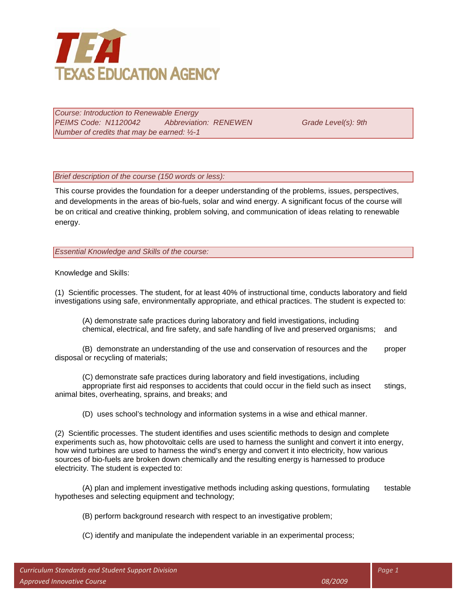

*Course: Introduction to Renewable Energy PEIMS Code: N1120042 Abbreviation: RENEWEN Grade Level(s): 9th Number of credits that may be earned: ½-1*

*Brief description of the course (150 words or less):*

This course provides the foundation for a deeper understanding of the problems, issues, perspectives, and developments in the areas of bio-fuels, solar and wind energy. A significant focus of the course will be on critical and creative thinking, problem solving, and communication of ideas relating to renewable energy.

*Essential Knowledge and Skills of the course:*

Knowledge and Skills:

(1) Scientific processes. The student, for at least 40% of instructional time, conducts laboratory and field investigations using safe, environmentally appropriate, and ethical practices. The student is expected to:

(A) demonstrate safe practices during laboratory and field investigations, including chemical, electrical, and fire safety, and safe handling of live and preserved organisms; and

(B) demonstrate an understanding of the use and conservation of resources and the proper disposal or recycling of materials;

(C) demonstrate safe practices during laboratory and field investigations, including appropriate first aid responses to accidents that could occur in the field such as insect stings, animal bites, overheating, sprains, and breaks; and

(D) uses school's technology and information systems in a wise and ethical manner.

(2) Scientific processes. The student identifies and uses scientific methods to design and complete experiments such as, how photovoltaic cells are used to harness the sunlight and convert it into energy, how wind turbines are used to harness the wind's energy and convert it into electricity, how various sources of bio-fuels are broken down chemically and the resulting energy is harnessed to produce electricity. The student is expected to:

(A) plan and implement investigative methods including asking questions, formulating testable hypotheses and selecting equipment and technology;

(B) perform background research with respect to an investigative problem;

(C) identify and manipulate the independent variable in an experimental process;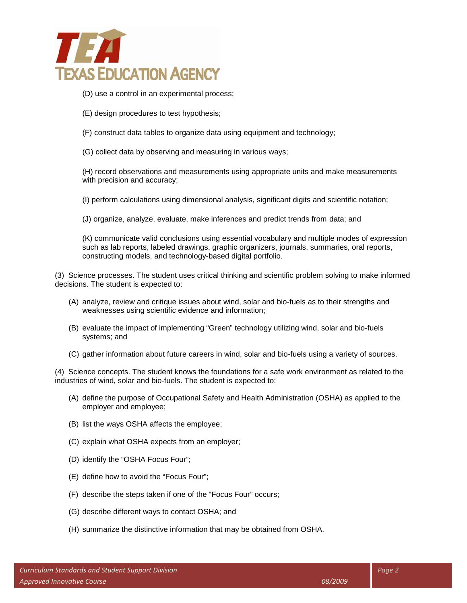

- (D) use a control in an experimental process;
- (E) design procedures to test hypothesis;
- (F) construct data tables to organize data using equipment and technology;
- (G) collect data by observing and measuring in various ways;

(H) record observations and measurements using appropriate units and make measurements with precision and accuracy;

(I) perform calculations using dimensional analysis, significant digits and scientific notation;

(J) organize, analyze, evaluate, make inferences and predict trends from data; and

(K) communicate valid conclusions using essential vocabulary and multiple modes of expression such as lab reports, labeled drawings, graphic organizers, journals, summaries, oral reports, constructing models, and technology-based digital portfolio.

(3) Science processes. The student uses critical thinking and scientific problem solving to make informed decisions. The student is expected to:

- (A) analyze, review and critique issues about wind, solar and bio-fuels as to their strengths and weaknesses using scientific evidence and information;
- (B) evaluate the impact of implementing "Green" technology utilizing wind, solar and bio-fuels systems; and
- (C) gather information about future careers in wind, solar and bio-fuels using a variety of sources.

(4) Science concepts. The student knows the foundations for a safe work environment as related to the industries of wind, solar and bio-fuels. The student is expected to:

- (A) define the purpose of Occupational Safety and Health Administration (OSHA) as applied to the employer and employee;
- (B) list the ways OSHA affects the employee;
- (C) explain what OSHA expects from an employer;
- (D) identify the "OSHA Focus Four";
- (E) define how to avoid the "Focus Four";
- (F) describe the steps taken if one of the "Focus Four" occurs;
- (G) describe different ways to contact OSHA; and
- (H) summarize the distinctive information that may be obtained from OSHA.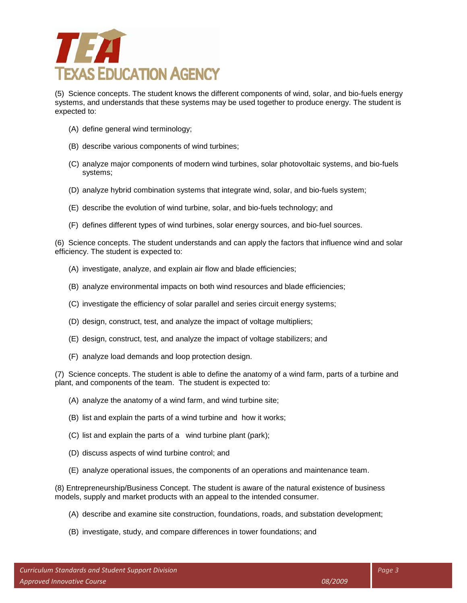

(5) Science concepts. The student knows the different components of wind, solar, and bio-fuels energy systems, and understands that these systems may be used together to produce energy. The student is expected to:

- (A) define general wind terminology;
- (B) describe various components of wind turbines;
- (C) analyze major components of modern wind turbines, solar photovoltaic systems, and bio-fuels systems;
- (D) analyze hybrid combination systems that integrate wind, solar, and bio-fuels system;
- (E) describe the evolution of wind turbine, solar, and bio-fuels technology; and
- (F) defines different types of wind turbines, solar energy sources, and bio-fuel sources.

(6) Science concepts. The student understands and can apply the factors that influence wind and solar efficiency. The student is expected to:

- (A) investigate, analyze, and explain air flow and blade efficiencies;
- (B) analyze environmental impacts on both wind resources and blade efficiencies;
- (C) investigate the efficiency of solar parallel and series circuit energy systems;
- (D) design, construct, test, and analyze the impact of voltage multipliers;
- (E) design, construct, test, and analyze the impact of voltage stabilizers; and
- (F) analyze load demands and loop protection design.

(7) Science concepts. The student is able to define the anatomy of a wind farm, parts of a turbine and plant, and components of the team. The student is expected to:

- (A) analyze the anatomy of a wind farm, and wind turbine site;
- (B) list and explain the parts of a wind turbine and how it works;
- (C) list and explain the parts of a wind turbine plant (park);
- (D) discuss aspects of wind turbine control; and
- (E) analyze operational issues, the components of an operations and maintenance team.

(8) Entrepreneurship/Business Concept. The student is aware of the natural existence of business models, supply and market products with an appeal to the intended consumer.

- (A) describe and examine site construction, foundations, roads, and substation development;
- (B) investigate, study, and compare differences in tower foundations; and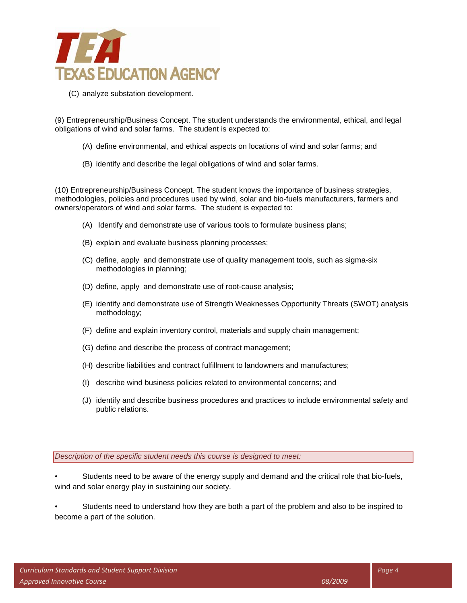

(C) analyze substation development.

(9) Entrepreneurship/Business Concept. The student understands the environmental, ethical, and legal obligations of wind and solar farms. The student is expected to:

- (A) define environmental, and ethical aspects on locations of wind and solar farms; and
- (B) identify and describe the legal obligations of wind and solar farms.

(10) Entrepreneurship/Business Concept. The student knows the importance of business strategies, methodologies, policies and procedures used by wind, solar and bio-fuels manufacturers, farmers and owners/operators of wind and solar farms. The student is expected to:

- (A) Identify and demonstrate use of various tools to formulate business plans;
- (B) explain and evaluate business planning processes;
- (C) define, apply and demonstrate use of quality management tools, such as sigma-six methodologies in planning;
- (D) define, apply and demonstrate use of root-cause analysis;
- (E) identify and demonstrate use of Strength Weaknesses Opportunity Threats (SWOT) analysis methodology;
- (F) define and explain inventory control, materials and supply chain management;
- (G) define and describe the process of contract management;
- (H) describe liabilities and contract fulfillment to landowners and manufactures;
- (I) describe wind business policies related to environmental concerns; and
- (J) identify and describe business procedures and practices to include environmental safety and public relations.

*Description of the specific student needs this course is designed to meet:*

- Students need to be aware of the energy supply and demand and the critical role that bio-fuels, wind and solar energy play in sustaining our society.
- Students need to understand how they are both a part of the problem and also to be inspired to become a part of the solution.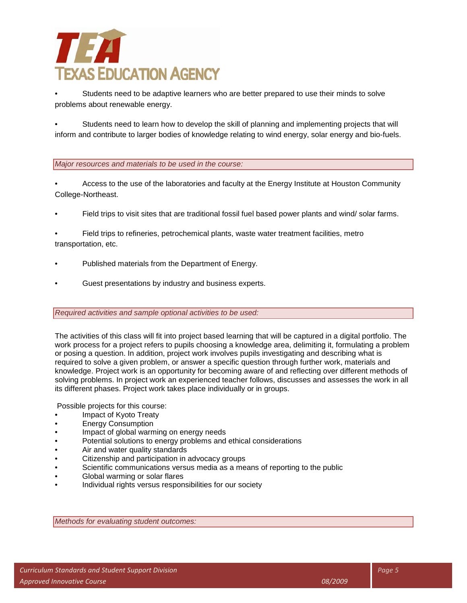# NE A **TEXAS EDUCATION AGENCY**

• Students need to be adaptive learners who are better prepared to use their minds to solve problems about renewable energy.

• Students need to learn how to develop the skill of planning and implementing projects that will inform and contribute to larger bodies of knowledge relating to wind energy, solar energy and bio-fuels.

### *Major resources and materials to be used in the course:*

• Access to the use of the laboratories and faculty at the Energy Institute at Houston Community College-Northeast.

- Field trips to visit sites that are traditional fossil fuel based power plants and wind/ solar farms.
- Field trips to refineries, petrochemical plants, waste water treatment facilities, metro transportation, etc.
- Published materials from the Department of Energy.
- Guest presentations by industry and business experts.

#### *Required activities and sample optional activities to be used:*

The activities of this class will fit into project based learning that will be captured in a digital portfolio. The work process for a project refers to pupils choosing a knowledge area, delimiting it, formulating a problem or posing a question. In addition, project work involves pupils investigating and describing what is required to solve a given problem, or answer a specific question through further work, materials and knowledge. Project work is an opportunity for becoming aware of and reflecting over different methods of solving problems. In project work an experienced teacher follows, discusses and assesses the work in all its different phases. Project work takes place individually or in groups.

Possible projects for this course:

- Impact of Kyoto Treaty
- Energy Consumption
- Impact of global warming on energy needs
- Potential solutions to energy problems and ethical considerations
- Air and water quality standards
- Citizenship and participation in advocacy groups
- Scientific communications versus media as a means of reporting to the public
- Global warming or solar flares
- Individual rights versus responsibilities for our society

*Methods for evaluating student outcomes:*